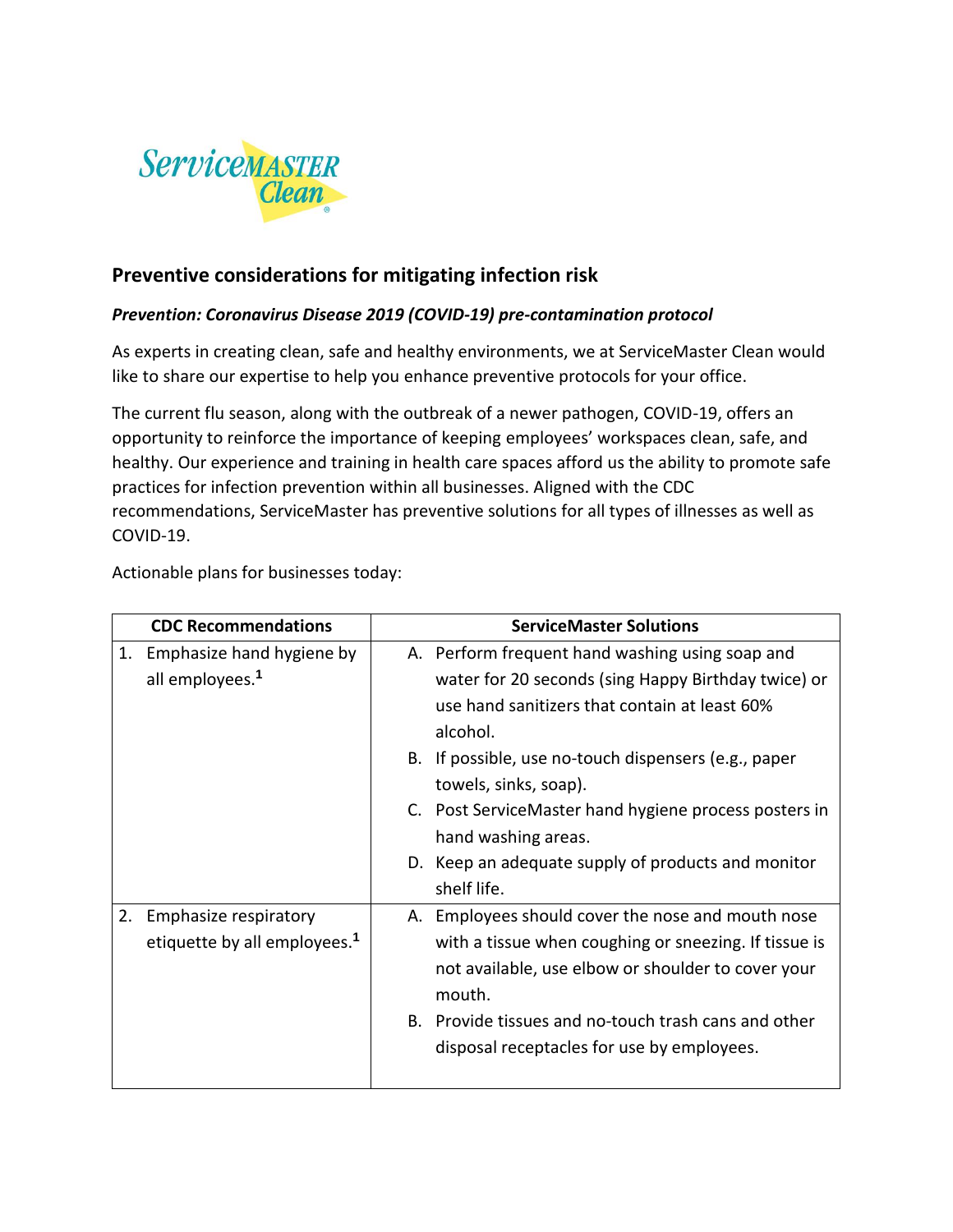

# **Preventive considerations for mitigating infection risk**

# *Prevention: Coronavirus Disease 2019 (COVID-19) pre-contamination protocol*

As experts in creating clean, safe and healthy environments, we at ServiceMaster Clean would like to share our expertise to help you enhance preventive protocols for your office.

The current flu season, along with the outbreak of a newer pathogen, COVID-19, offers an opportunity to reinforce the importance of keeping employees' workspaces clean, safe, and healthy. Our experience and training in health care spaces afford us the ability to promote safe practices for infection prevention within all businesses. Aligned with the CDC recommendations, ServiceMaster has preventive solutions for all types of illnesses as well as COVID-19.

Actionable plans for businesses today:

| <b>CDC Recommendations</b>                                              | <b>ServiceMaster Solutions</b>                                                                                                                                                                                                                                                                                                                                                                            |  |
|-------------------------------------------------------------------------|-----------------------------------------------------------------------------------------------------------------------------------------------------------------------------------------------------------------------------------------------------------------------------------------------------------------------------------------------------------------------------------------------------------|--|
| 1. Emphasize hand hygiene by<br>all employees. <sup>1</sup>             | A. Perform frequent hand washing using soap and<br>water for 20 seconds (sing Happy Birthday twice) or<br>use hand sanitizers that contain at least 60%<br>alcohol.<br>B. If possible, use no-touch dispensers (e.g., paper<br>towels, sinks, soap).<br>C. Post ServiceMaster hand hygiene process posters in<br>hand washing areas.<br>D. Keep an adequate supply of products and monitor<br>shelf life. |  |
| Emphasize respiratory<br>2.<br>etiquette by all employees. <sup>1</sup> | A. Employees should cover the nose and mouth nose<br>with a tissue when coughing or sneezing. If tissue is<br>not available, use elbow or shoulder to cover your<br>mouth.<br>B. Provide tissues and no-touch trash cans and other<br>disposal receptacles for use by employees.                                                                                                                          |  |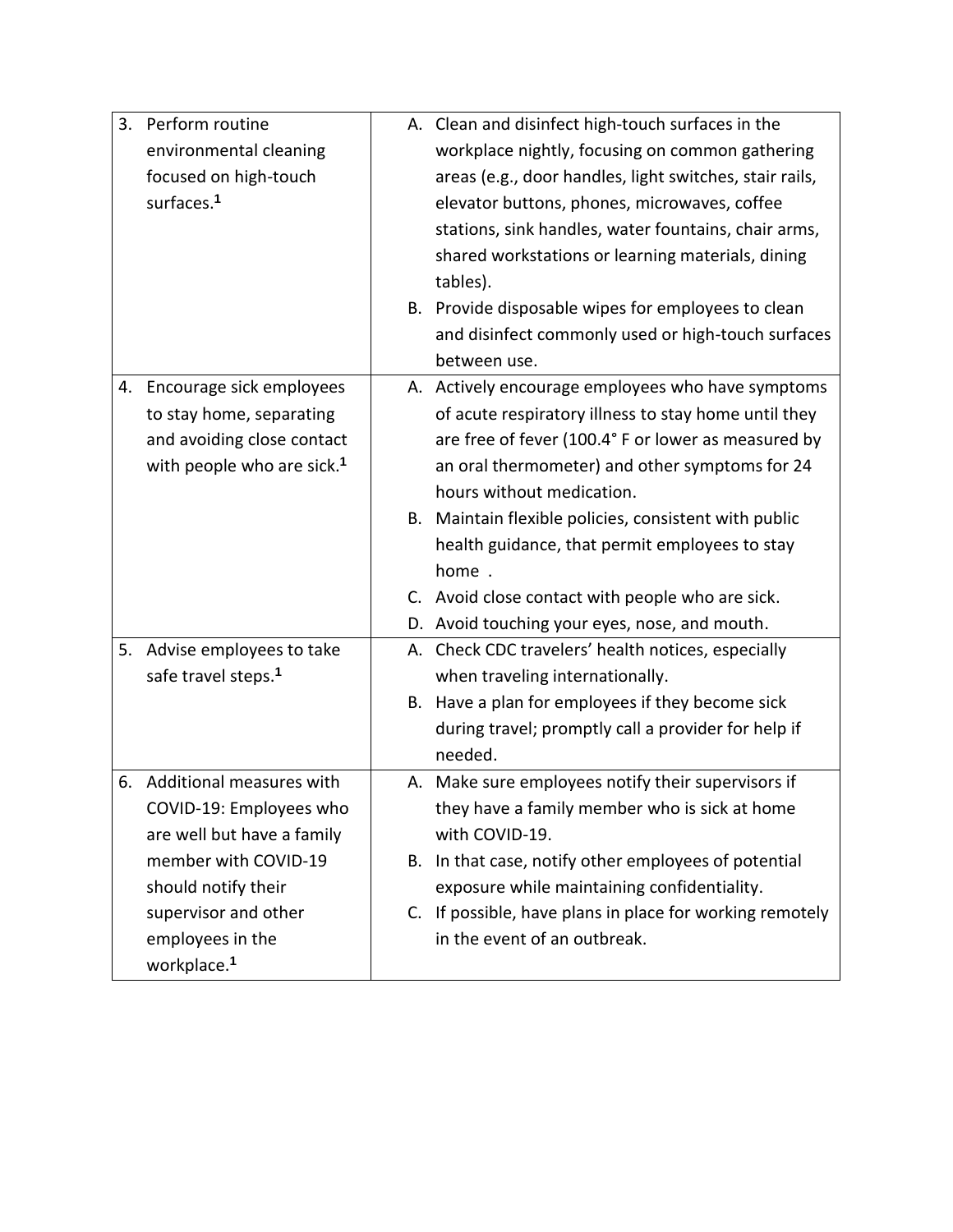|    | 3. Perform routine                     | A. Clean and disinfect high-touch surfaces in the        |
|----|----------------------------------------|----------------------------------------------------------|
|    | environmental cleaning                 | workplace nightly, focusing on common gathering          |
|    | focused on high-touch                  | areas (e.g., door handles, light switches, stair rails,  |
|    | surfaces. <sup>1</sup>                 | elevator buttons, phones, microwaves, coffee             |
|    |                                        | stations, sink handles, water fountains, chair arms,     |
|    |                                        | shared workstations or learning materials, dining        |
|    |                                        | tables).                                                 |
|    |                                        | B. Provide disposable wipes for employees to clean       |
|    |                                        | and disinfect commonly used or high-touch surfaces       |
|    |                                        | between use.                                             |
|    | 4. Encourage sick employees            | A. Actively encourage employees who have symptoms        |
|    | to stay home, separating               | of acute respiratory illness to stay home until they     |
|    | and avoiding close contact             | are free of fever (100.4° F or lower as measured by      |
|    | with people who are sick. <sup>1</sup> | an oral thermometer) and other symptoms for 24           |
|    |                                        | hours without medication.                                |
|    |                                        | B. Maintain flexible policies, consistent with public    |
|    |                                        | health guidance, that permit employees to stay           |
|    |                                        | home.                                                    |
|    |                                        | C. Avoid close contact with people who are sick.         |
|    |                                        | D. Avoid touching your eyes, nose, and mouth.            |
| 5. | Advise employees to take               | A. Check CDC travelers' health notices, especially       |
|    | safe travel steps. <sup>1</sup>        | when traveling internationally.                          |
|    |                                        | B. Have a plan for employees if they become sick         |
|    |                                        | during travel; promptly call a provider for help if      |
|    |                                        | needed.                                                  |
| 6. | Additional measures with               | A. Make sure employees notify their supervisors if       |
|    | COVID-19: Employees who                | they have a family member who is sick at home            |
|    | are well but have a family             | with COVID-19.                                           |
|    | member with COVID-19                   | B. In that case, notify other employees of potential     |
|    | should notify their                    | exposure while maintaining confidentiality.              |
|    | supervisor and other                   | C. If possible, have plans in place for working remotely |
|    | employees in the                       | in the event of an outbreak.                             |
|    | workplace. <sup>1</sup>                |                                                          |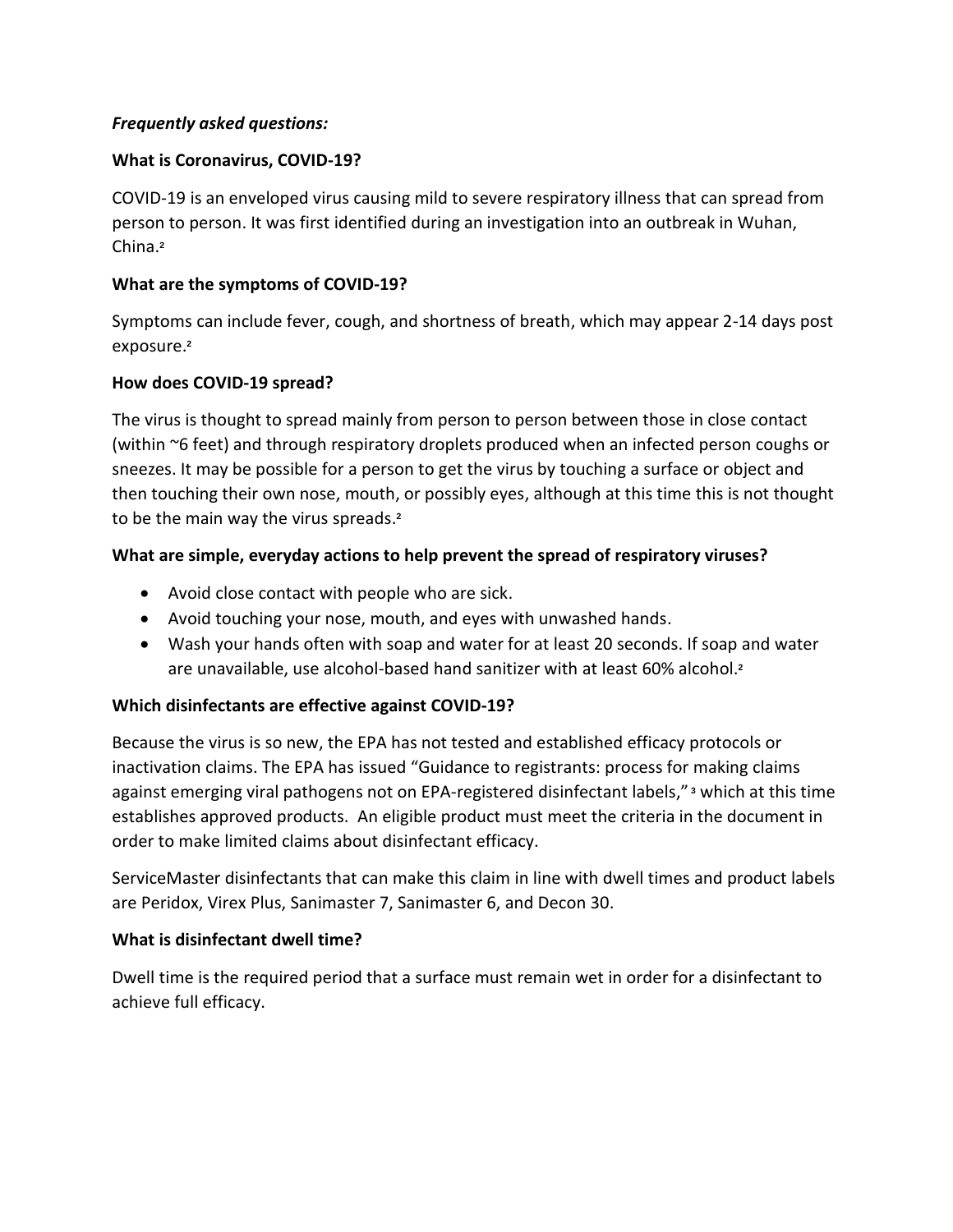# *Frequently asked questions:*

### **What is Coronavirus, COVID-19?**

COVID-19 is an enveloped virus causing mild to severe respiratory illness that can spread from person to person. It was first identified during an investigation into an outbreak in Wuhan, China. **2**

# **What are the symptoms of COVID-19?**

Symptoms can include fever, cough, and shortness of breath, which may appear 2-14 days post exposure. **2**

# **How does COVID-19 spread?**

The virus is thought to spread mainly from person to person between those in close contact (within ~6 feet) and through respiratory droplets produced when an infected person coughs or sneezes. It may be possible for a person to get the virus by touching a surface or object and then touching their own nose, mouth, or possibly eyes, although at this time this is not thought to be the main way the virus spreads. **2**

# **What are simple, everyday actions to help prevent the spread of respiratory viruses?**

- Avoid close contact with people who are sick.
- Avoid touching your nose, mouth, and eyes with unwashed hands.
- Wash your hands often with soap and water for at least 20 seconds. If soap and water are unavailable, use alcohol-based hand sanitizer with at least 60% alcohol. **2**

# **Which disinfectants are effective against COVID-19?**

Because the virus is so new, the EPA has not tested and established efficacy protocols or inactivation claims. The EPA has issued "Guidance to registrants: process for making claims against emerging viral pathogens not on EPA-registered disinfectant labels," **<sup>3</sup>** which at this time establishes approved products. An eligible product must meet the criteria in the document in order to make limited claims about disinfectant efficacy.

ServiceMaster disinfectants that can make this claim in line with dwell times and product labels are Peridox, Virex Plus, Sanimaster 7, Sanimaster 6, and Decon 30.

### **What is disinfectant dwell time?**

Dwell time is the required period that a surface must remain wet in order for a disinfectant to achieve full efficacy.